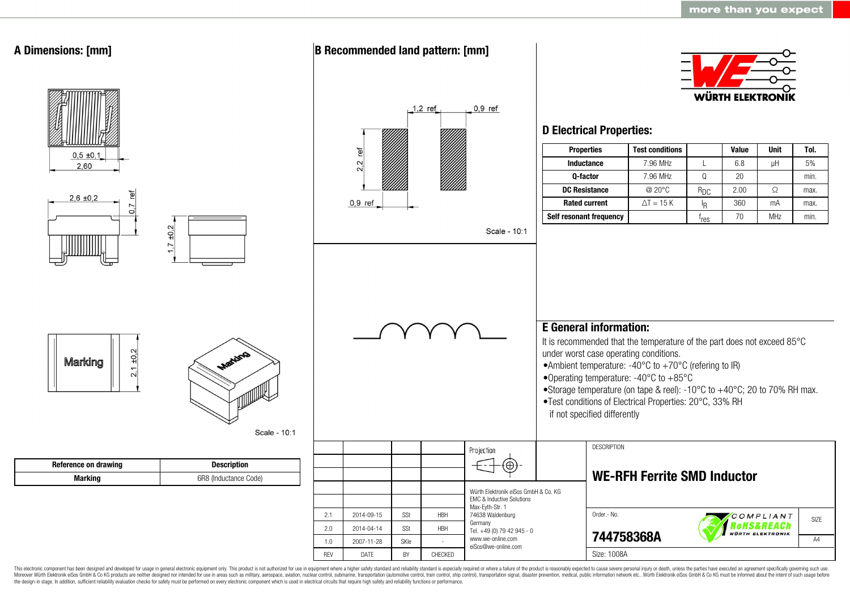

This electronic component has been designed and developed for usage in general electronic equipment only. This product is not authorized for use in equipment where a higher safety standard and reliability standard is espec Moreover Würth Elektronik eiSos GmbH & Co KG products are neither designed nor intended for use in areas such as military, aerospace, aviation, nuclear control, submarine, transportation (automotive control, ship control), the design-in stage. In addition, sufficient reliability evaluation checks for safety must be performed on every electronic component which is used in electrical circuits that require high safety and reliability functions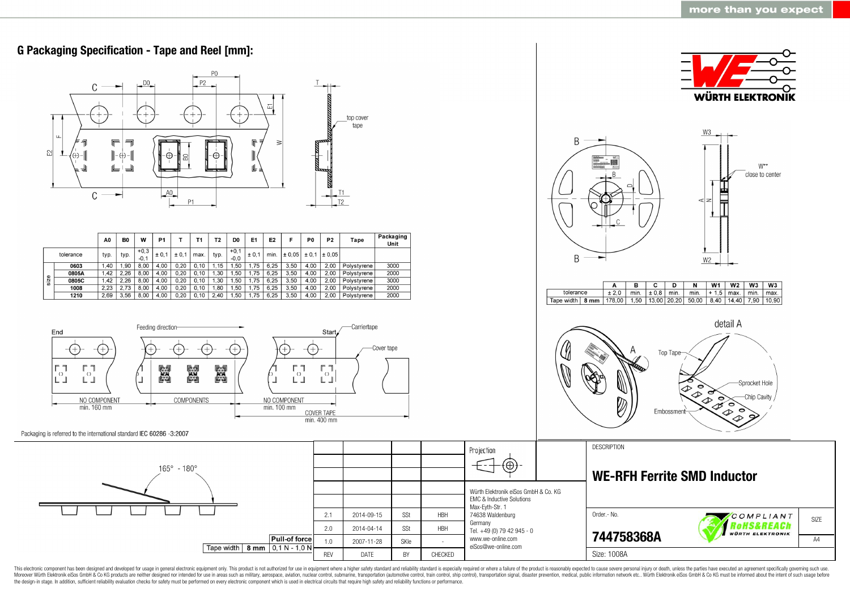

This electronic component has been designed and developed for usage in general electronic equipment only. This product is not authorized for use in equipment where a higher safety standard and reliability standard as espec Moreover Würth Elektronik eiSos GmbH & Co KG products are neither designed nor intended for use in areas such as military, aerospace, aviation, nuclear control, submarine, transportation (automotive control, ship control), the design-in stage. In addition, sufficient reliability evaluation checks for safety must be performed on every electronic component which is used in electrical circuits that require high safety and reliability functions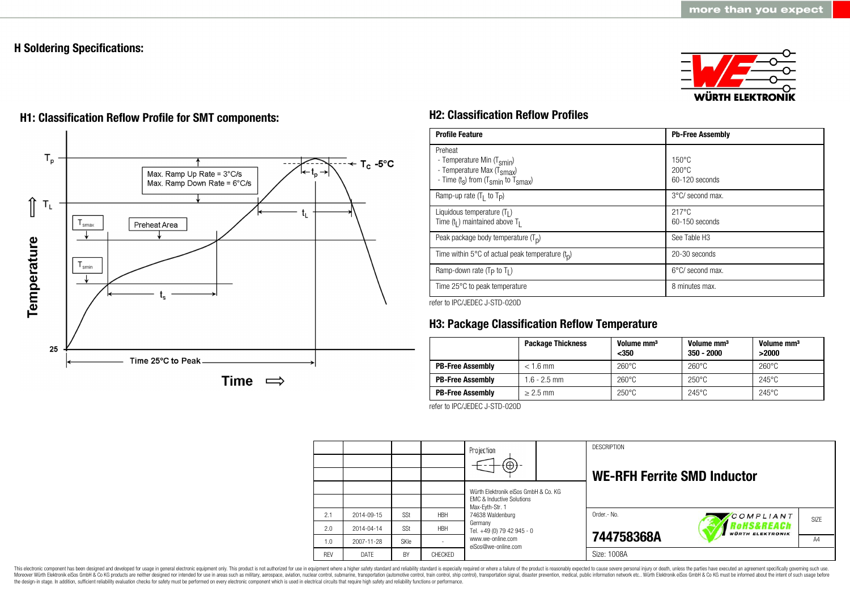# **H Soldering Specifications:**





# **H1: Classification Reflow Profile for SMT components: H2: Classification Reflow Profiles**

| <b>Profile Feature</b>                                                                                                                        | <b>Pb-Free Assembly</b>                             |
|-----------------------------------------------------------------------------------------------------------------------------------------------|-----------------------------------------------------|
| Preheat<br>- Temperature Min (T <sub>smin</sub> )<br>- Temperature Max (T <sub>Smax</sub> )<br>- Time $(t_s)$ from $(T_{smin}$ to $T_{smax})$ | $150^{\circ}$ C<br>$200\degree C$<br>60-120 seconds |
| Ramp-up rate $(T_1$ to $T_p$ )                                                                                                                | 3°C/ second max.                                    |
| Liquidous temperature $(T1)$<br>Time $(tl)$ maintained above T <sub>1</sub>                                                                   | $217^{\circ}$ C<br>60-150 seconds                   |
| Peak package body temperature $(Tp)$                                                                                                          | See Table H <sub>3</sub>                            |
| Time within 5°C of actual peak temperature $(t_n)$                                                                                            | 20-30 seconds                                       |
| Ramp-down rate ( $T_P$ to $T_I$ )                                                                                                             | $6^{\circ}$ C/ second max.                          |
| Time 25°C to peak temperature                                                                                                                 | 8 minutes max.                                      |

refer to IPC/JEDEC J-STD-020D

# **H3: Package Classification Reflow Temperature**

|                         | <b>Package Thickness</b> | Volume mm <sup>3</sup><br>$350$ | Volume mm <sup>3</sup><br>$350 - 2000$ | Volume mm <sup>3</sup><br>>2000 |
|-------------------------|--------------------------|---------------------------------|----------------------------------------|---------------------------------|
| <b>PB-Free Assembly</b> | $< 1.6$ mm               | $260^{\circ}$ C                 | $260^{\circ}$ C                        | $260^{\circ}$ C                 |
| <b>PB-Free Assembly</b> | $1.6 - 2.5$ mm           | $260^{\circ}$ C                 | $250^{\circ}$ C                        | $245^{\circ}$ C                 |
| <b>PB-Free Assembly</b> | $> 2.5$ mm               | $250^{\circ}$ C                 | $245^{\circ}$ C                        | $245^{\circ}$ C                 |

refer to IPC/JEDEC J-STD-020D

|            |            |             |            | Projection<br>$\oplus$                                                                                              |  | <b>DESCRIPTION</b><br><b>WE-RFH Ferrite SMD Inductor</b> |                                       |      |
|------------|------------|-------------|------------|---------------------------------------------------------------------------------------------------------------------|--|----------------------------------------------------------|---------------------------------------|------|
|            |            |             |            | Würth Elektronik eiSos GmbH & Co. KG<br><b>EMC &amp; Inductive Solutions</b><br>Max-Eyth-Str. 1<br>74638 Waldenburg |  |                                                          |                                       |      |
| 2.1        | 2014-09-15 | SSt         | <b>HBH</b> |                                                                                                                     |  | Order.- No.                                              | COMPLIANT                             | SIZE |
| 2.0        | 2014-04-14 | SSt         | <b>HBH</b> | Germany<br>Tel. +49 (0) 79 42 945 - 0                                                                               |  |                                                          | Rohs&REACh<br><b>WÜRTH ELEKTRONIK</b> |      |
| 1.0        | 2007-11-28 | <b>SKIe</b> |            | www.we-online.com<br>eiSos@we-online.com                                                                            |  | 744758368A                                               |                                       | AA   |
| <b>RFV</b> | DATE       | BY          | CHECKED    |                                                                                                                     |  | Size: 1008A                                              |                                       |      |

This electronic component has been designed and developed for usage in general electronic equipment only. This product is not authorized for use in equipment where a higher safety standard and reliability standard is espec Moreover Würth Elektronik eiSos GmbH & Co KG products are neither designed nor intended for use in areas such as military, aerospace, aviation, nuclear control, submarine, transportation (automotive control), stain control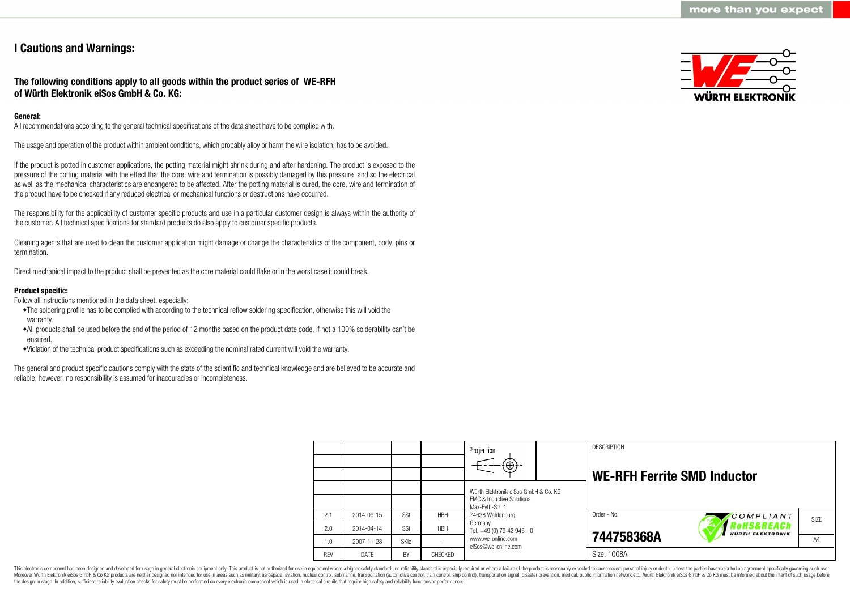# **I Cautions and Warnings:**

## **The following conditions apply to all goods within the product series of WE-RFH of Würth Elektronik eiSos GmbH & Co. KG:**

## **General:**

All recommendations according to the general technical specifications of the data sheet have to be complied with.

The usage and operation of the product within ambient conditions, which probably alloy or harm the wire isolation, has to be avoided.

If the product is potted in customer applications, the potting material might shrink during and after hardening. The product is exposed to the pressure of the potting material with the effect that the core, wire and termination is possibly damaged by this pressure and so the electrical as well as the mechanical characteristics are endangered to be affected. After the potting material is cured, the core, wire and termination of the product have to be checked if any reduced electrical or mechanical functions or destructions have occurred.

The responsibility for the applicability of customer specific products and use in a particular customer design is always within the authority of the customer. All technical specifications for standard products do also apply to customer specific products.

Cleaning agents that are used to clean the customer application might damage or change the characteristics of the component, body, pins or termination.

Direct mechanical impact to the product shall be prevented as the core material could flake or in the worst case it could break.

## **Product specific:**

Follow all instructions mentioned in the data sheet, especially:

- •The soldering profile has to be complied with according to the technical reflow soldering specification, otherwise this will void the warranty.
- •All products shall be used before the end of the period of 12 months based on the product date code, if not a 100% solderability can´t be ensured.
- •Violation of the technical product specifications such as exceeding the nominal rated current will void the warranty.

The general and product specific cautions comply with the state of the scientific and technical knowledge and are believed to be accurate and reliable; however, no responsibility is assumed for inaccuracies or incompleteness.



|            |            |             |            | Projection                                                                   |  | <b>DESCRIPTION</b>                 |                                                  |                   |
|------------|------------|-------------|------------|------------------------------------------------------------------------------|--|------------------------------------|--------------------------------------------------|-------------------|
|            |            |             |            | $\textcircled{\scriptsize\textcircled{\scriptsize\textcirc}}$                |  | <b>WE-RFH Ferrite SMD Inductor</b> |                                                  |                   |
|            |            |             |            | Würth Elektronik eiSos GmbH & Co. KG<br><b>EMC &amp; Inductive Solutions</b> |  |                                    |                                                  |                   |
| 2.1        | 2014-09-15 | SSt         | <b>HBH</b> | Max-Evth-Str. 1<br>74638 Waldenburg                                          |  | Order.- No.                        | COMPLIANT                                        | SI <sub>7</sub> F |
| 2.0        | 2014-04-14 | SSt         | <b>HBH</b> | Germany<br>Tel. +49 (0) 79 42 945 - 0                                        |  |                                    | <b>'oHS&amp;REACh</b><br><b>WÜRTH ELEKTRONIK</b> |                   |
| 1.0        | 2007-11-28 | <b>SKIe</b> |            | www.we-online.com<br>eiSos@we-online.com                                     |  | 744758368A                         |                                                  | A4                |
| <b>REV</b> | DATE       | BY          | CHECKED    |                                                                              |  | Size: 1008A                        |                                                  |                   |

This electronic component has been designed and developed for usage in general electronic equipment only. This product is not authorized for use in equipment where a higher safety standard and reliability standard is espec Moreover Würth Elektronik eiSos GmbH & Co KG products are neither designed nor intended for use in areas such as military, aerospace, aviation, nuclear control, submarine, transportation (automotive control), tain control) the design-in stage. In addition, sufficient reliability evaluation checks for safety must be performed on every electronic component which is used in electrical circuits that require high safety and reliability functions